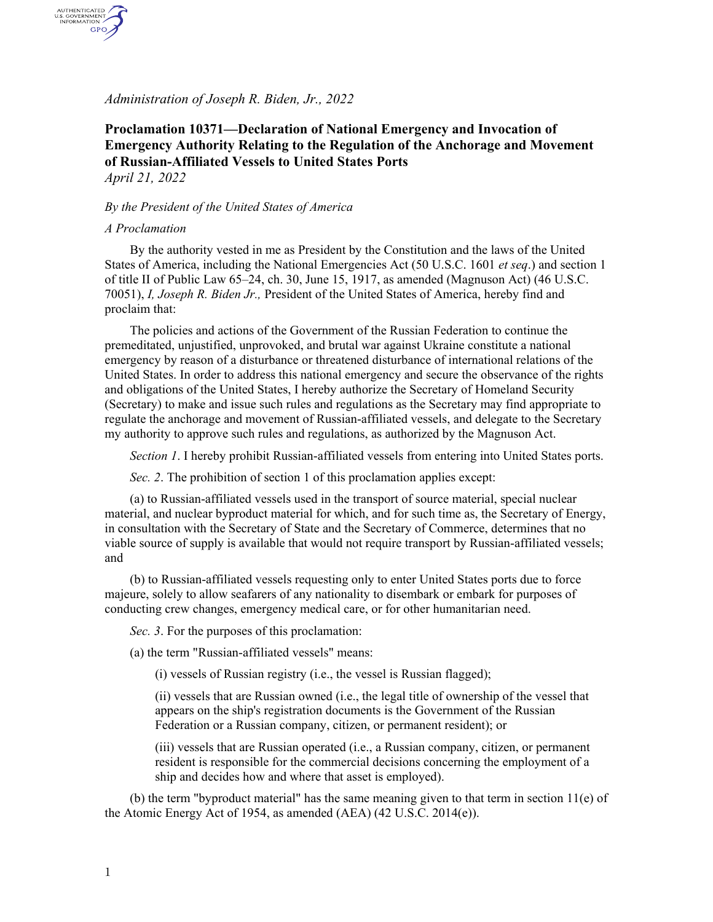*Administration of Joseph R. Biden, Jr., 2022*

## **Proclamation 10371—Declaration of National Emergency and Invocation of Emergency Authority Relating to the Regulation of the Anchorage and Movement of Russian-Affiliated Vessels to United States Ports** *April 21, 2022*

## *By the President of the United States of America*

## *A Proclamation*

AUTHENTICATED<br>U.S. GOVERNMENT<br>INFORMATION GPO

> By the authority vested in me as President by the Constitution and the laws of the United States of America, including the National Emergencies Act (50 U.S.C. 1601 *et seq*.) and section 1 of title II of Public Law 65–24, ch. 30, June 15, 1917, as amended (Magnuson Act) (46 U.S.C. 70051), *I, Joseph R. Biden Jr.,* President of the United States of America, hereby find and proclaim that:

> The policies and actions of the Government of the Russian Federation to continue the premeditated, unjustified, unprovoked, and brutal war against Ukraine constitute a national emergency by reason of a disturbance or threatened disturbance of international relations of the United States. In order to address this national emergency and secure the observance of the rights and obligations of the United States, I hereby authorize the Secretary of Homeland Security (Secretary) to make and issue such rules and regulations as the Secretary may find appropriate to regulate the anchorage and movement of Russian-affiliated vessels, and delegate to the Secretary my authority to approve such rules and regulations, as authorized by the Magnuson Act.

*Section 1*. I hereby prohibit Russian-affiliated vessels from entering into United States ports.

*Sec. 2*. The prohibition of section 1 of this proclamation applies except:

(a) to Russian-affiliated vessels used in the transport of source material, special nuclear material, and nuclear byproduct material for which, and for such time as, the Secretary of Energy, in consultation with the Secretary of State and the Secretary of Commerce, determines that no viable source of supply is available that would not require transport by Russian-affiliated vessels; and

(b) to Russian-affiliated vessels requesting only to enter United States ports due to force majeure, solely to allow seafarers of any nationality to disembark or embark for purposes of conducting crew changes, emergency medical care, or for other humanitarian need.

*Sec. 3*. For the purposes of this proclamation:

(a) the term "Russian-affiliated vessels" means:

(i) vessels of Russian registry (i.e., the vessel is Russian flagged);

(ii) vessels that are Russian owned (i.e., the legal title of ownership of the vessel that appears on the ship's registration documents is the Government of the Russian Federation or a Russian company, citizen, or permanent resident); or

(iii) vessels that are Russian operated (i.e., a Russian company, citizen, or permanent resident is responsible for the commercial decisions concerning the employment of a ship and decides how and where that asset is employed).

(b) the term "byproduct material" has the same meaning given to that term in section  $11(e)$  of the Atomic Energy Act of 1954, as amended (AEA) (42 U.S.C. 2014(e)).